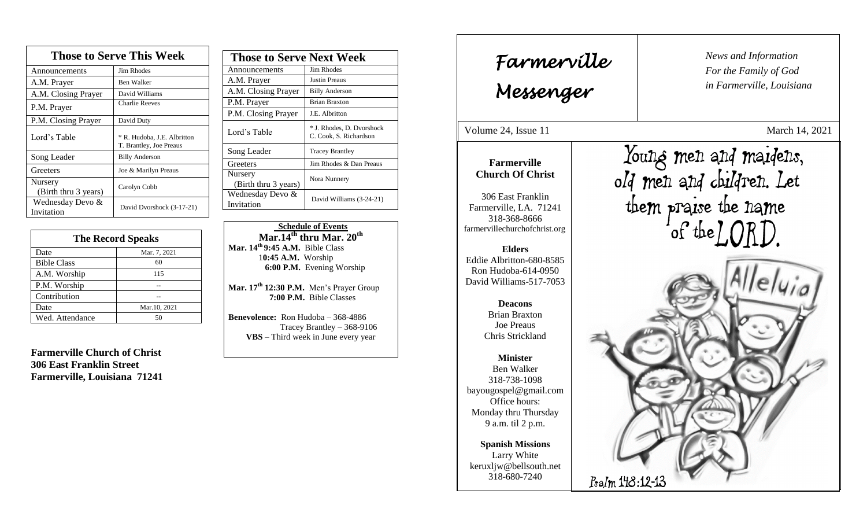| <b>Those to Serve This Week</b> |                                                        |  |
|---------------------------------|--------------------------------------------------------|--|
| Announcements                   | <b>Jim Rhodes</b>                                      |  |
| A.M. Prayer                     | <b>Ben Walker</b>                                      |  |
| A.M. Closing Prayer             | David Williams                                         |  |
| P.M. Prayer                     | <b>Charlie Reeves</b>                                  |  |
| P.M. Closing Prayer             | David Duty                                             |  |
| Lord's Table                    | * R. Hudoba, J.E. Albritton<br>T. Brantley, Joe Preaus |  |
| Song Leader                     | <b>Billy Anderson</b>                                  |  |
| Greeters                        | Joe & Marilyn Preaus                                   |  |
| Nursery<br>(Birth thru 3 years) | Carolyn Cobb                                           |  |
| Wednesday Devo &<br>Invitation  | David Dvorshock (3-17-21)                              |  |

| <b>The Record Speaks</b> |              |
|--------------------------|--------------|
| Date                     | Mar. 7, 2021 |
| <b>Bible Class</b>       | 60           |
| A.M. Worship             | 115          |
| P.M. Worship             |              |
| Contribution             |              |
| Date                     | Mar.10, 2021 |
| Wed. Attendance          | 50           |

**Farmerville Church of Christ 306 East Franklin Street Farmerville, Louisiana 71241**

| <b>Those to Serve Next Week</b> |                                                     |
|---------------------------------|-----------------------------------------------------|
| Announcements                   | Jim Rhodes                                          |
| A.M. Prayer                     | <b>Justin Preaus</b>                                |
| A.M. Closing Prayer             | <b>Billy Anderson</b>                               |
| P.M. Prayer                     | <b>Brian Braxton</b>                                |
| P.M. Closing Prayer             | J.E. Albritton                                      |
| Lord's Table                    | * J. Rhodes, D. Dvorshock<br>C. Cook, S. Richardson |
| Song Leader                     | <b>Tracey Brantley</b>                              |
| Greeters                        | Jim Rhodes & Dan Preaus                             |
| Nursery<br>(Birth thru 3 years) | Nora Nunnery                                        |
| Wednesday Devo &<br>Invitation  | David Williams (3-24-21)                            |

 **Schedule of Events Mar.14th thru Mar. 20th Mar. 14th 9:45 A.M.** Bible Class 1**0:45 A.M.** Worship  **6:00 P.M.** Evening Worship

**Mar. 17 th 12:30 P.M.** Men's Prayer Group **7:00 P.M.** Bible Classes

**Benevolence:** Ron Hudoba – 368-4886 Tracey Brantley – 368-9106 **VBS** – Third week in June every year